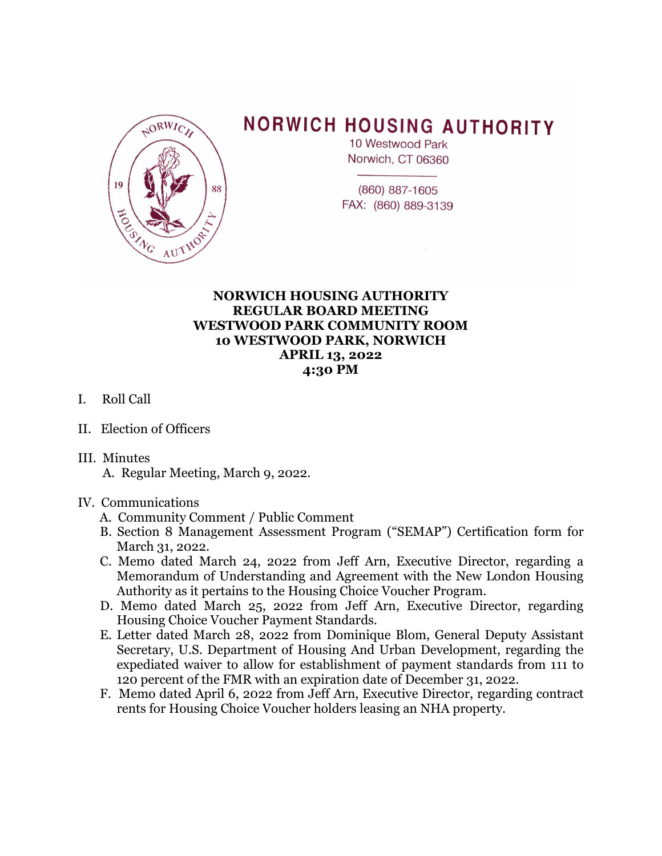

## **NORWICH HOUSING AUTHORITY**

10 Westwood Park Norwich, CT 06360

(860) 887-1605 FAX: (860) 889-3139

## **NORWICH HOUSING AUTHORITY REGULAR BOARD MEETING WESTWOOD PARK COMMUNITY ROOM 10 WESTWOOD PARK, NORWICH APRIL 13, 2022 4:30 PM**

- I. Roll Call
- II. Election of Officers
- III. Minutes
	- A. Regular Meeting, March 9, 2022.

## IV. Communications

- A. Community Comment / Public Comment
- B. Section 8 Management Assessment Program ("SEMAP") Certification form for March 31, 2022.
- C. Memo dated March 24, 2022 from Jeff Arn, Executive Director, regarding a Memorandum of Understanding and Agreement with the New London Housing Authority as it pertains to the Housing Choice Voucher Program.
- D. Memo dated March 25, 2022 from Jeff Arn, Executive Director, regarding Housing Choice Voucher Payment Standards.
- E. Letter dated March 28, 2022 from Dominique Blom, General Deputy Assistant Secretary, U.S. Department of Housing And Urban Development, regarding the expediated waiver to allow for establishment of payment standards from 111 to 120 percent of the FMR with an expiration date of December 31, 2022.
- F. Memo dated April 6, 2022 from Jeff Arn, Executive Director, regarding contract rents for Housing Choice Voucher holders leasing an NHA property.